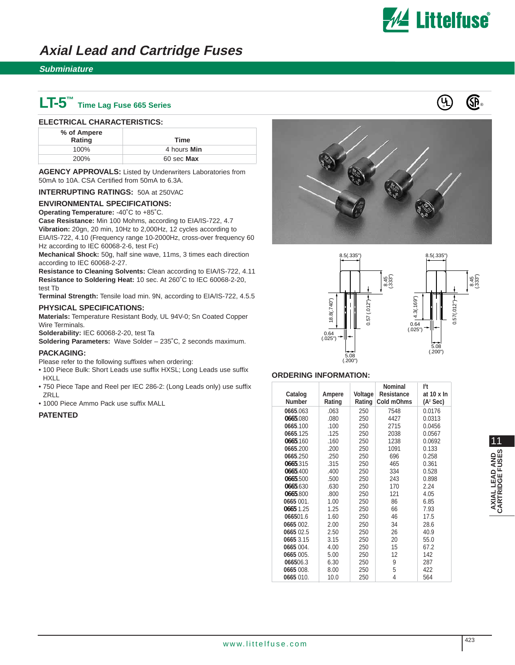

8.5(.335")

8.45 (.333")

0.57(.012")

 $0.57(.012")$ 

## **Axial Lead and Cartridge Fuses**

### **Subminiature**

# **LT-5™ Time Lag Fuse 665 Series**

#### **ELECTRICAL CHARACTERISTICS:**

| % of Ampere<br>Rating | Time        |
|-----------------------|-------------|
| 100%                  | 4 hours Min |
| <b>200%</b>           | 60 sec Max  |

**AGENCY APPROVALS:** Listed by Underwriters Laboratories from 50mA to 10A. CSA Certified from 50mA to 6.3A.

**INTERRUPTING RATINGS:** 50A at 250VAC

#### **ENVIRONMENTAL SPECIFICATIONS:**

**Operating Temperature:** -40˚C to +85˚C.

**Case Resistance:** Min 100 Mohms, according to EIA/IS-722, 4.7 **Vibration:** 20gn, 20 min, 10Hz to 2,000Hz, 12 cycles according to EIA/IS-722, 4.10 (Frequency range 10-2000Hz, cross-over frequency 60 Hz according to IEC 60068-2-6, test Fc)

**Mechanical Shock:** 50g, half sine wave, 11ms, 3 times each direction according to IEC 60068-2-27.

**Resistance to Cleaning Solvents:** Clean according to EIA/IS-722, 4.11 **Resistance to Soldering Heat:** 10 sec. At 260˚C to IEC 60068-2-20, test Tb

**Terminal Strength:** Tensile load min. 9N, according to EIA/IS-722, 4.5.5

#### **PHYSICAL SPECIFICATIONS:**

**Materials:** Temperature Resistant Body, UL 94V-0; Sn Coated Copper Wire Terminals.

**Solderability:** IEC 60068-2-20, test Ta

**Soldering Parameters:** Wave Solder – 235˚C, 2 seconds maximum.

#### **PACKAGING:**

Please refer to the following suffixes when ordering:

- 100 Piece Bulk: Short Leads use suffix HXSL; Long Leads use suffix HXLL
- 750 Piece Tape and Reel per IEC 286-2: (Long Leads only) use suffix **ZRLL**
- 1000 Piece Ammo Pack use suffix MALL

#### **PATENTED**





#### **ORDERING INFORMATION:**

| 18.8(.740")<br>$0.57$ (.012")<br>4.3(.169<br>0.64<br>0.64<br>(.025")<br>5.08<br>(.200")<br>5.08<br>(.200")<br><b>ORDERING INFORMATION:</b> |                  |                   |                                        |                                            |  |
|--------------------------------------------------------------------------------------------------------------------------------------------|------------------|-------------------|----------------------------------------|--------------------------------------------|--|
|                                                                                                                                            |                  |                   | <b>Nominal</b>                         | 12t                                        |  |
| Catalog<br><b>Number</b>                                                                                                                   | Ampere<br>Rating | Voltage<br>Rating | <b>Resistance</b><br><b>Cold mOhms</b> | at $10 \times \ln$<br>(A <sup>2</sup> Sec) |  |
| 0665.063                                                                                                                                   | .063             | 250               | 7548                                   | 0.0176                                     |  |
| 0665.080                                                                                                                                   | .080             | 250               | 4427                                   | 0.0313                                     |  |
| 0665.100                                                                                                                                   | .100             | 250               | 2715                                   | 0.0456                                     |  |
| 0665.125                                                                                                                                   | .125             | 250               | 2038                                   | 0.0567                                     |  |
| 0665.160                                                                                                                                   | .160             | 250               | 1238                                   | 0.0692                                     |  |
| 0665.200                                                                                                                                   | .200             | 250               | 1091                                   | 0.133                                      |  |
| 0665.250                                                                                                                                   | .250             | 250               | 696                                    | 0.258                                      |  |
| 0665.315                                                                                                                                   | .315             | 250               | 465                                    | 0.361                                      |  |
| 0665.400                                                                                                                                   | .400             | 250               | 334                                    | 0.528                                      |  |
| 0665.500                                                                                                                                   | .500             | 250               | 243                                    | 0.898                                      |  |
| 0665.630                                                                                                                                   | .630             | 250               | 170                                    | 2.24                                       |  |
| 0665.800                                                                                                                                   | .800             | 250               | 121                                    | 4.05                                       |  |
| 0665 001.                                                                                                                                  | 1.00             | 250               | 86                                     | 6.85                                       |  |
| 0665 1.25                                                                                                                                  | 1.25             | 250               | 66                                     | 7.93                                       |  |
| 066501.6                                                                                                                                   | 1.60             | 250               | 46                                     | 17.5                                       |  |
| 0665 002.                                                                                                                                  | 2.00             | 250               | 34                                     | 28.6                                       |  |
| 0665 02.5                                                                                                                                  | 2.50             | 250               | 26                                     | 40.9                                       |  |
| 0665 3.15<br>0665 004.                                                                                                                     | 3.15             | 250<br>250        | 20<br>15                               | 55.0<br>67.2                               |  |
| 0665 005.                                                                                                                                  | 4.00<br>5.00     | 250               | 12                                     | 142                                        |  |
| 066506.3                                                                                                                                   | 6.30             | 250               | 9                                      | 287                                        |  |
| 0665 008.                                                                                                                                  | 8.00             | 250               | 5                                      | 422                                        |  |
| 0665 010.                                                                                                                                  | 10.0             | 250               | 4                                      | 564                                        |  |

11